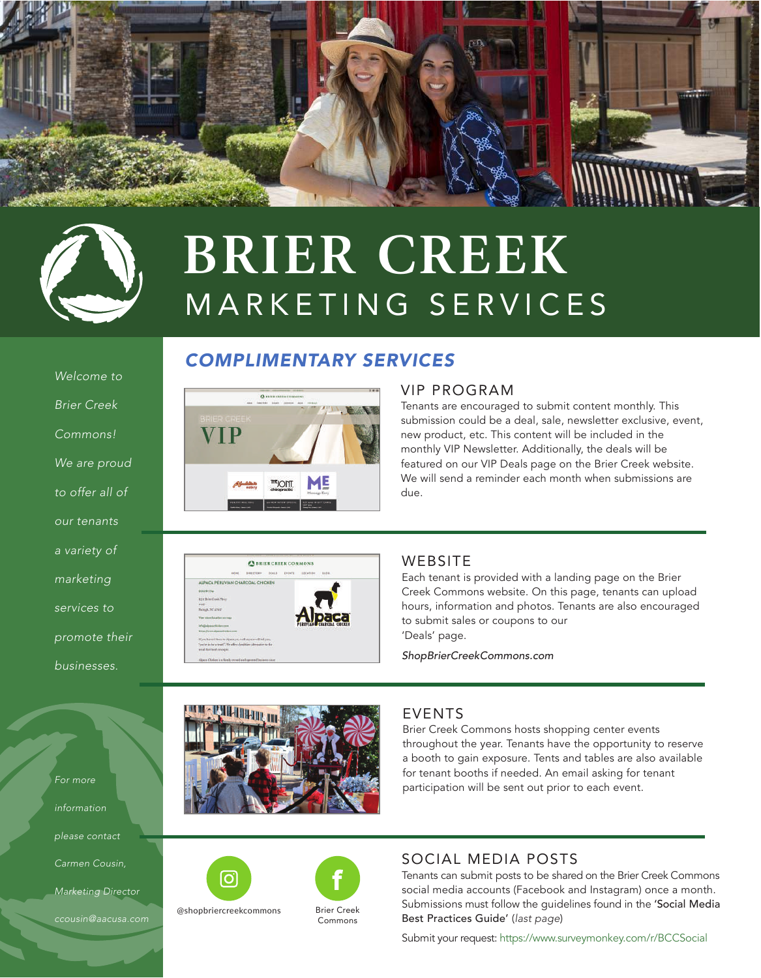



# MARKETING SERVICES **BRIER CREEK**

## *COMPLIMENTARY SERVICES*



#### VIP PROGRAM

Tenants are encouraged to submit content monthly. This submission could be a deal, sale, newsletter exclusive, event, new product, etc. This content will be included in the monthly VIP Newsletter. Additionally, the deals will be featured on our VIP Deals page on the Brier Creek website. We will send a reminder each month when submissions are due.



#### WEBSITE

Each tenant is provided with a landing page on the Brier Creek Commons website. On this page, tenants can upload hours, information and photos. Tenants are also encouraged to submit sales or coupons to our 'Deals' page.

*ShopBrierCreekCommons.com*



#### EVENTS

Brier Creek Commons hosts shopping center events throughout the year. Tenants have the opportunity to reserve a booth to gain exposure. Tents and tables are also available for tenant booths if needed. An email asking for tenant participation will be sent out prior to each event.







### SOCIAL MEDIA POSTS

Tenants can submit posts to be shared on the Brier Creek Commons social media accounts (Facebook and Instagram) once a month. Submissions must follow the guidelines found in the 'Social Media Best Practices Guide' (*last page*)

Submit your request: https://www.surveymonkey.com/r/BCCSocial

*Welcome to* 

*Brier Creek* 

*Commons!* 

*We are proud* 

*to offer all of* 

*our tenants* 

*a variety of* 

*marketing* 

*services to* 

*promote their* 

*businesses.*

*information please contact* 

*For more* 

*Carmen Cousin,* 

*Marketing Director* 

*ccousin@aacusa.com*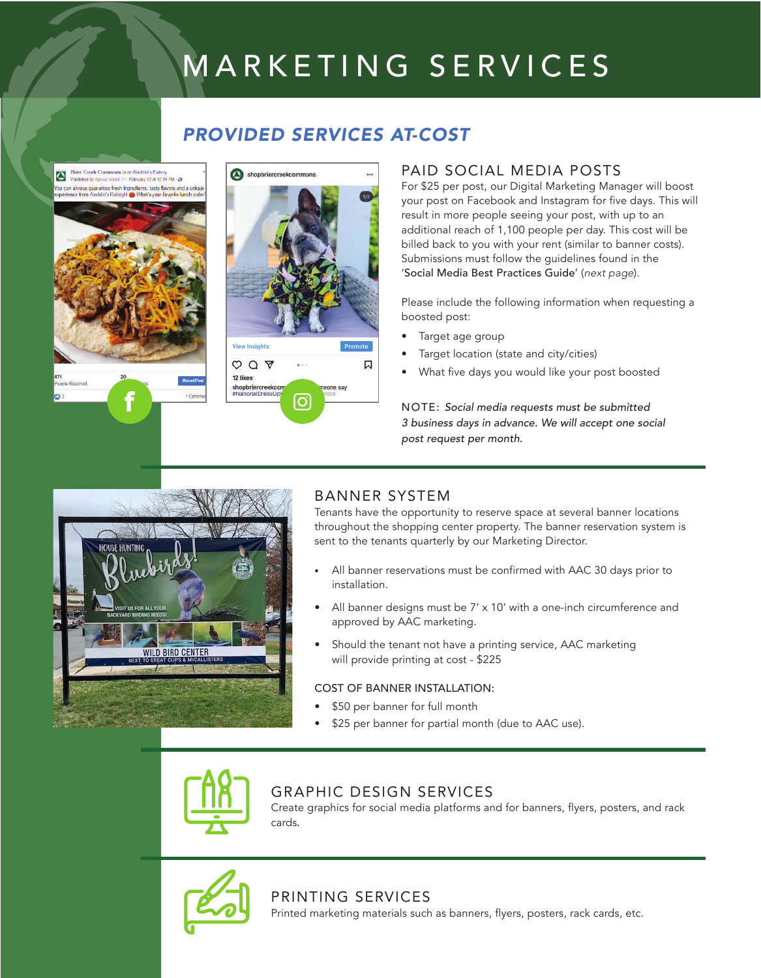# MARKETING SERVICES

## *PROVIDED SERVICES AT-COST*





### PAID SOCIAL MEDIA POSTS

For \$25 per post, our Digital Marketing Manager will boost your post on Facebook and Instagram for five days. This will result in more people seeing your post, with up to an additional reach of 1,100 people per day. This cost will be billed back to you with your rent (similar to banner costs). Submissions must follow the guidelines found in the 'Social Media Best Practices Guide' (*next page*).

Please include the following information when requesting a boosted post:

- Target age group
- Target location (state and city/cities)
- What five days you would like your post boosted

NOTE: *Social media requests must be submitted 3 business days in advance. We will accept one social post request per month.*



### BANNER SYSTEM

Tenants have the opportunity to reserve space at several banner locations throughout the shopping center property. The banner reservation system is sent to the tenants quarterly by our Marketing Director.

- All banner reservations must be confirmed with AAC 30 days prior to installation.
- All banner designs must be 7' x 10' with a one-inch circumference and approved by AAC marketing.
- Should the tenant not have a printing service, AAC marketing will provide printing at cost - \$225

#### COST OF BANNER INSTALLATION:

- \$50 per banner for full month
- \$25 per banner for partial month (due to AAC use).



### GRAPHIC DESIGN SERVICES

Create graphics for social media platforms and for banners, flyers, posters, and rack cards.



# PRINTING SERVICES

Printed marketing materials such as banners, flyers, posters, rack cards, etc.